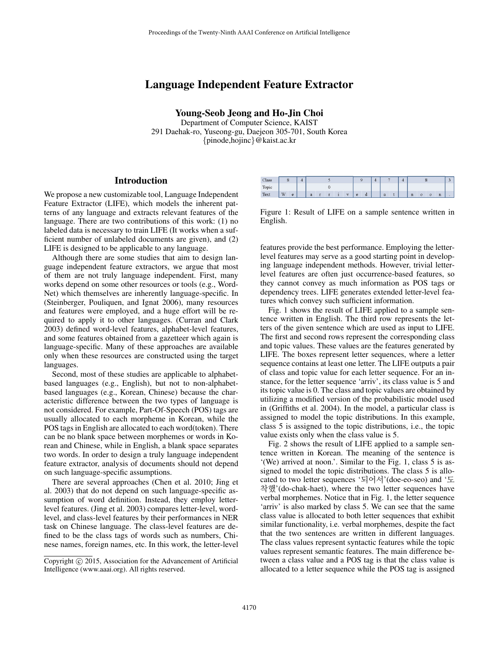# Language Independent Feature Extractor

Young-Seob Jeong and Ho-Jin Choi

Department of Computer Science, KAIST 291 Daehak-ro, Yuseong-gu, Daejeon 305-701, South Korea {pinode,hojinc}@kaist.ac.kr

## **Introduction**

We propose a new customizable tool, Language Independent Feature Extractor (LIFE), which models the inherent patterns of any language and extracts relevant features of the language. There are two contributions of this work: (1) no labeled data is necessary to train LIFE (It works when a sufficient number of unlabeled documents are given), and (2) LIFE is designed to be applicable to any language.

Although there are some studies that aim to design language independent feature extractors, we argue that most of them are not truly language independent. First, many works depend on some other resources or tools (e.g., Word-Net) which themselves are inherently language-specific. In (Steinberger, Pouliquen, and Ignat 2006), many resources and features were employed, and a huge effort will be required to apply it to other languages. (Curran and Clark 2003) defined word-level features, alphabet-level features, and some features obtained from a gazetteer which again is language-specific. Many of these approaches are available only when these resources are constructed using the target languages.

Second, most of these studies are applicable to alphabetbased languages (e.g., English), but not to non-alphabetbased languages (e.g., Korean, Chinese) because the characteristic difference between the two types of language is not considered. For example, Part-Of-Speech (POS) tags are usually allocated to each morpheme in Korean, while the POS tags in English are allocated to each word(token). There can be no blank space between morphemes or words in Korean and Chinese, while in English, a blank space separates two words. In order to design a truly language independent feature extractor, analysis of documents should not depend on such language-specific assumptions.

There are several approaches (Chen et al. 2010; Jing et al. 2003) that do not depend on such language-specific assumption of word definition. Instead, they employ letterlevel features. (Jing et al. 2003) compares letter-level, wordlevel, and class-level features by their performances in NER task on Chinese language. The class-level features are defined to be the class tags of words such as numbers, Chinese names, foreign names, etc. In this work, the letter-level

| Class       | ۰ |   | Δ |   |  |  |  |          |        |   | 4 |   |  | o           |  |  |  |  |
|-------------|---|---|---|---|--|--|--|----------|--------|---|---|---|--|-------------|--|--|--|--|
| Topic       |   |   |   |   |  |  |  |          |        |   |   |   |  |             |  |  |  |  |
| <b>Text</b> | W | e |   | a |  |  |  | <b>A</b> | $\sim$ | u |   | a |  | $\mathbf n$ |  |  |  |  |

Figure 1: Result of LIFE on a sample sentence written in English.

features provide the best performance. Employing the letterlevel features may serve as a good starting point in developing language independent methods. However, trivial letterlevel features are often just occurrence-based features, so they cannot convey as much information as POS tags or dependency trees. LIFE generates extended letter-level features which convey such sufficient information.

Fig. 1 shows the result of LIFE applied to a sample sentence written in English. The third row represents the letters of the given sentence which are used as input to LIFE. The first and second rows represent the corresponding class and topic values. These values are the features generated by LIFE. The boxes represent letter sequences, where a letter sequence contains at least one letter. The LIFE outputs a pair of class and topic value for each letter sequence. For an instance, for the letter sequence 'arriv', its class value is 5 and its topic value is 0. The class and topic values are obtained by utilizing a modified version of the probabilistic model used in (Griffiths et al. 2004). In the model, a particular class is assigned to model the topic distributions. In this example, class 5 is assigned to the topic distributions, i.e., the topic value exists only when the class value is 5.

Fig. 2 shows the result of LIFE applied to a sample sentence written in Korean. The meaning of the sentence is '(We) arrived at noon.'. Similar to the Fig. 1, class 5 is assigned to model the topic distributions. The class 5 is allocated to two letter sequences '되어서'(doe-eo-seo) and '도 착했'(do-chak-haet), where the two letter sequences have verbal morphemes. Notice that in Fig. 1, the letter sequence 'arriv' is also marked by class 5. We can see that the same class value is allocated to both letter sequences that exhibit similar functionality, i.e. verbal morphemes, despite the fact that the two sentences are written in different languages. The class values represent syntactic features while the topic values represent semantic features. The main difference between a class value and a POS tag is that the class value is allocated to a letter sequence while the POS tag is assigned

Copyright (c) 2015, Association for the Advancement of Artificial Intelligence (www.aaai.org). All rights reserved.